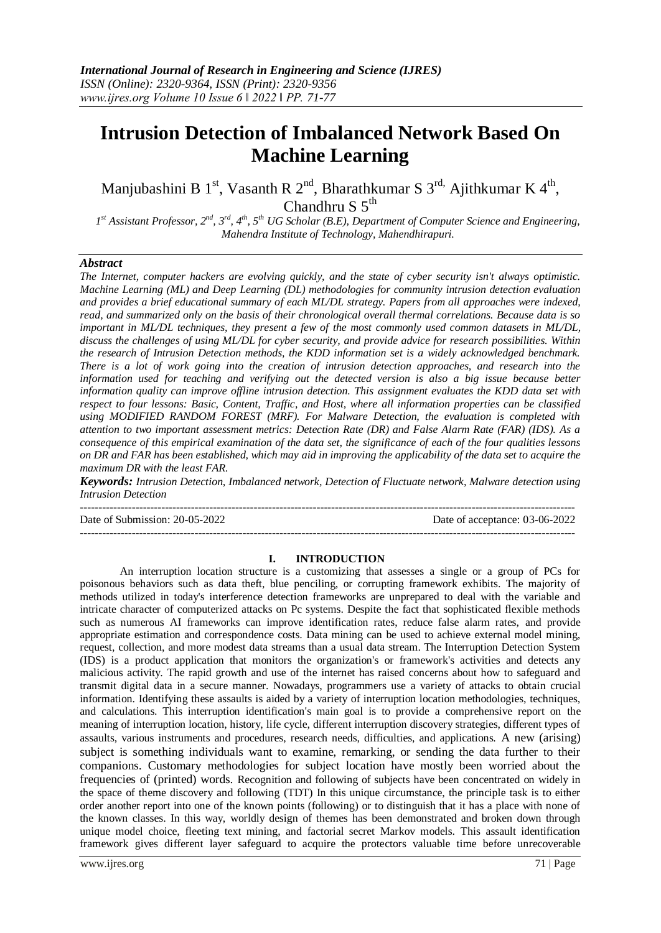# **Intrusion Detection of Imbalanced Network Based On Machine Learning**

Manjubashini B 1<sup>st</sup>, Vasanth R 2<sup>nd</sup>, Bharathkumar S 3<sup>rd,</sup> Ajithkumar K 4<sup>th</sup>, Chandhru S 5<sup>th</sup>

*1 st Assistant Professor, 2nd, 3rd, 4th, 5th UG Scholar (B.E), Department of Computer Science and Engineering, Mahendra Institute of Technology, Mahendhirapuri.*

### *Abstract*

*The Internet, computer hackers are evolving quickly, and the state of cyber security isn't always optimistic. Machine Learning (ML) and Deep Learning (DL) methodologies for community intrusion detection evaluation and provides a brief educational summary of each ML/DL strategy. Papers from all approaches were indexed, read, and summarized only on the basis of their chronological overall thermal correlations. Because data is so important in ML/DL techniques, they present a few of the most commonly used common datasets in ML/DL, discuss the challenges of using ML/DL for cyber security, and provide advice for research possibilities. Within the research of Intrusion Detection methods, the KDD information set is a widely acknowledged benchmark. There is a lot of work going into the creation of intrusion detection approaches, and research into the information used for teaching and verifying out the detected version is also a big issue because better information quality can improve offline intrusion detection. This assignment evaluates the KDD data set with respect to four lessons: Basic, Content, Traffic, and Host, where all information properties can be classified using MODIFIED RANDOM FOREST (MRF). For Malware Detection, the evaluation is completed with attention to two important assessment metrics: Detection Rate (DR) and False Alarm Rate (FAR) (IDS). As a consequence of this empirical examination of the data set, the significance of each of the four qualities lessons on DR and FAR has been established, which may aid in improving the applicability of the data set to acquire the maximum DR with the least FAR.*

*Keywords: Intrusion Detection, Imbalanced network, Detection of Fluctuate network, Malware detection using Intrusion Detection*

-------------------------------------------------------------------------------------------------------------------------------------- Date of Submission: 20-05-2022 Date of acceptance: 03-06-2022 --------------------------------------------------------------------------------------------------------------------------------------

#### **I. INTRODUCTION**

An interruption location structure is a customizing that assesses a single or a group of PCs for poisonous behaviors such as data theft, blue penciling, or corrupting framework exhibits. The majority of methods utilized in today's interference detection frameworks are unprepared to deal with the variable and intricate character of computerized attacks on Pc systems. Despite the fact that sophisticated flexible methods such as numerous AI frameworks can improve identification rates, reduce false alarm rates, and provide appropriate estimation and correspondence costs. Data mining can be used to achieve external model mining, request, collection, and more modest data streams than a usual data stream. The Interruption Detection System (IDS) is a product application that monitors the organization's or framework's activities and detects any malicious activity. The rapid growth and use of the internet has raised concerns about how to safeguard and transmit digital data in a secure manner. Nowadays, programmers use a variety of attacks to obtain crucial information. Identifying these assaults is aided by a variety of interruption location methodologies, techniques, and calculations. This interruption identification's main goal is to provide a comprehensive report on the meaning of interruption location, history, life cycle, different interruption discovery strategies, different types of assaults, various instruments and procedures, research needs, difficulties, and applications. A new (arising) subject is something individuals want to examine, remarking, or sending the data further to their companions. Customary methodologies for subject location have mostly been worried about the frequencies of (printed) words. Recognition and following of subjects have been concentrated on widely in the space of theme discovery and following (TDT) In this unique circumstance, the principle task is to either order another report into one of the known points (following) or to distinguish that it has a place with none of the known classes. In this way, worldly design of themes has been demonstrated and broken down through unique model choice, fleeting text mining, and factorial secret Markov models. This assault identification framework gives different layer safeguard to acquire the protectors valuable time before unrecoverable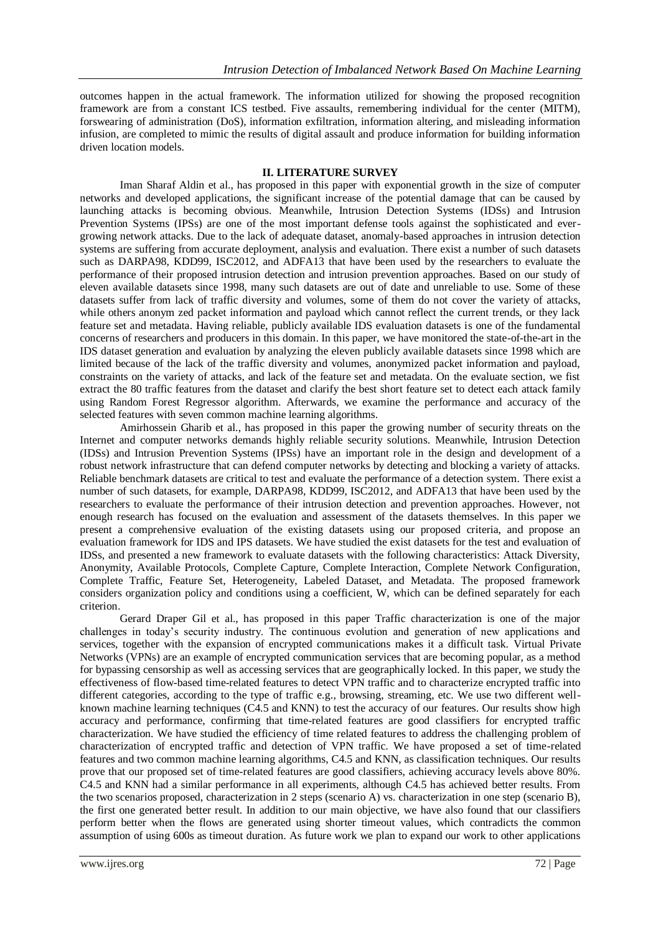outcomes happen in the actual framework. The information utilized for showing the proposed recognition framework are from a constant ICS testbed. Five assaults, remembering individual for the center (MITM), forswearing of administration (DoS), information exfiltration, information altering, and misleading information infusion, are completed to mimic the results of digital assault and produce information for building information driven location models.

#### **II. LITERATURE SURVEY**

Iman Sharaf Aldin et al., has proposed in this paper with exponential growth in the size of computer networks and developed applications, the significant increase of the potential damage that can be caused by launching attacks is becoming obvious. Meanwhile, Intrusion Detection Systems (IDSs) and Intrusion Prevention Systems (IPSs) are one of the most important defense tools against the sophisticated and evergrowing network attacks. Due to the lack of adequate dataset, anomaly-based approaches in intrusion detection systems are suffering from accurate deployment, analysis and evaluation. There exist a number of such datasets such as DARPA98, KDD99, ISC2012, and ADFA13 that have been used by the researchers to evaluate the performance of their proposed intrusion detection and intrusion prevention approaches. Based on our study of eleven available datasets since 1998, many such datasets are out of date and unreliable to use. Some of these datasets suffer from lack of traffic diversity and volumes, some of them do not cover the variety of attacks, while others anonym zed packet information and payload which cannot reflect the current trends, or they lack feature set and metadata. Having reliable, publicly available IDS evaluation datasets is one of the fundamental concerns of researchers and producers in this domain. In this paper, we have monitored the state-of-the-art in the IDS dataset generation and evaluation by analyzing the eleven publicly available datasets since 1998 which are limited because of the lack of the traffic diversity and volumes, anonymized packet information and payload, constraints on the variety of attacks, and lack of the feature set and metadata. On the evaluate section, we fist extract the 80 traffic features from the dataset and clarify the best short feature set to detect each attack family using Random Forest Regressor algorithm. Afterwards, we examine the performance and accuracy of the selected features with seven common machine learning algorithms.

Amirhossein Gharib et al., has proposed in this paper the growing number of security threats on the Internet and computer networks demands highly reliable security solutions. Meanwhile, Intrusion Detection (IDSs) and Intrusion Prevention Systems (IPSs) have an important role in the design and development of a robust network infrastructure that can defend computer networks by detecting and blocking a variety of attacks. Reliable benchmark datasets are critical to test and evaluate the performance of a detection system. There exist a number of such datasets, for example, DARPA98, KDD99, ISC2012, and ADFA13 that have been used by the researchers to evaluate the performance of their intrusion detection and prevention approaches. However, not enough research has focused on the evaluation and assessment of the datasets themselves. In this paper we present a comprehensive evaluation of the existing datasets using our proposed criteria, and propose an evaluation framework for IDS and IPS datasets. We have studied the exist datasets for the test and evaluation of IDSs, and presented a new framework to evaluate datasets with the following characteristics: Attack Diversity, Anonymity, Available Protocols, Complete Capture, Complete Interaction, Complete Network Configuration, Complete Traffic, Feature Set, Heterogeneity, Labeled Dataset, and Metadata. The proposed framework considers organization policy and conditions using a coefficient, W, which can be defined separately for each criterion.

Gerard Draper Gil et al., has proposed in this paper Traffic characterization is one of the major challenges in today's security industry. The continuous evolution and generation of new applications and services, together with the expansion of encrypted communications makes it a difficult task. Virtual Private Networks (VPNs) are an example of encrypted communication services that are becoming popular, as a method for bypassing censorship as well as accessing services that are geographically locked. In this paper, we study the effectiveness of flow-based time-related features to detect VPN traffic and to characterize encrypted traffic into different categories, according to the type of traffic e.g., browsing, streaming, etc. We use two different wellknown machine learning techniques (C4.5 and KNN) to test the accuracy of our features. Our results show high accuracy and performance, confirming that time-related features are good classifiers for encrypted traffic characterization. We have studied the efficiency of time related features to address the challenging problem of characterization of encrypted traffic and detection of VPN traffic. We have proposed a set of time-related features and two common machine learning algorithms, C4.5 and KNN, as classification techniques. Our results prove that our proposed set of time-related features are good classifiers, achieving accuracy levels above 80%. C4.5 and KNN had a similar performance in all experiments, although C4.5 has achieved better results. From the two scenarios proposed, characterization in 2 steps (scenario A) vs. characterization in one step (scenario B), the first one generated better result. In addition to our main objective, we have also found that our classifiers perform better when the flows are generated using shorter timeout values, which contradicts the common assumption of using 600s as timeout duration. As future work we plan to expand our work to other applications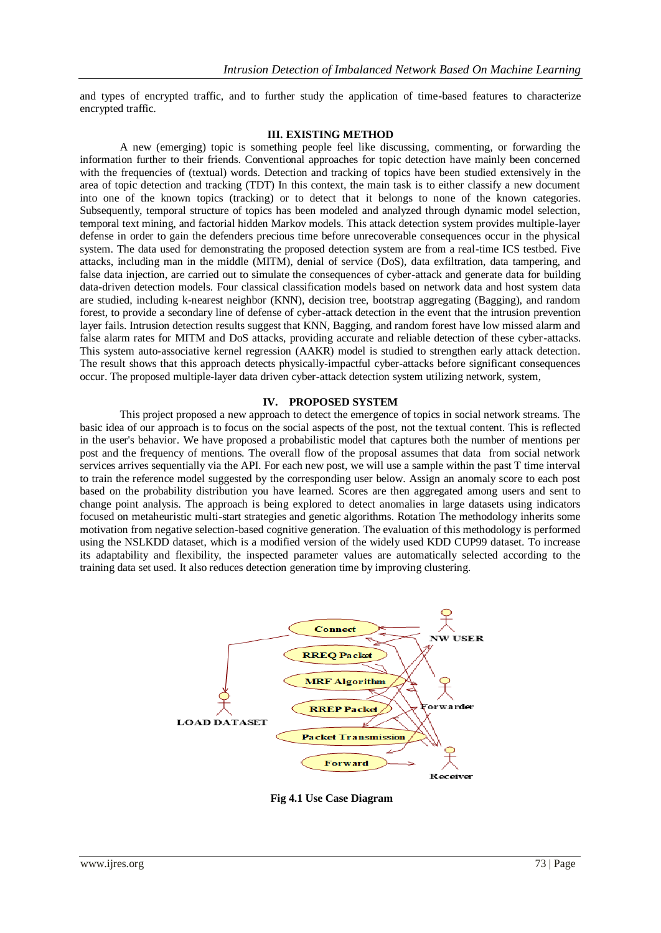and types of encrypted traffic, and to further study the application of time-based features to characterize encrypted traffic.

#### **III. EXISTING METHOD**

A new (emerging) topic is something people feel like discussing, commenting, or forwarding the information further to their friends. Conventional approaches for topic detection have mainly been concerned with the frequencies of (textual) words. Detection and tracking of topics have been studied extensively in the area of topic detection and tracking (TDT) In this context, the main task is to either classify a new document into one of the known topics (tracking) or to detect that it belongs to none of the known categories. Subsequently, temporal structure of topics has been modeled and analyzed through dynamic model selection, temporal text mining, and factorial hidden Markov models. This attack detection system provides multiple-layer defense in order to gain the defenders precious time before unrecoverable consequences occur in the physical system. The data used for demonstrating the proposed detection system are from a real-time ICS testbed. Five attacks, including man in the middle (MITM), denial of service (DoS), data exfiltration, data tampering, and false data injection, are carried out to simulate the consequences of cyber-attack and generate data for building data-driven detection models. Four classical classification models based on network data and host system data are studied, including k-nearest neighbor (KNN), decision tree, bootstrap aggregating (Bagging), and random forest, to provide a secondary line of defense of cyber-attack detection in the event that the intrusion prevention layer fails. Intrusion detection results suggest that KNN, Bagging, and random forest have low missed alarm and false alarm rates for MITM and DoS attacks, providing accurate and reliable detection of these cyber-attacks. This system auto-associative kernel regression (AAKR) model is studied to strengthen early attack detection. The result shows that this approach detects physically-impactful cyber-attacks before significant consequences occur. The proposed multiple-layer data driven cyber-attack detection system utilizing network, system,

#### **IV. PROPOSED SYSTEM**

This project proposed a new approach to detect the emergence of topics in social network streams. The basic idea of our approach is to focus on the social aspects of the post, not the textual content. This is reflected in the user's behavior. We have proposed a probabilistic model that captures both the number of mentions per post and the frequency of mentions. The overall flow of the proposal assumes that data from social network services arrives sequentially via the API. For each new post, we will use a sample within the past T time interval to train the reference model suggested by the corresponding user below. Assign an anomaly score to each post based on the probability distribution you have learned. Scores are then aggregated among users and sent to change point analysis. The approach is being explored to detect anomalies in large datasets using indicators focused on metaheuristic multi-start strategies and genetic algorithms. Rotation The methodology inherits some motivation from negative selection-based cognitive generation. The evaluation of this methodology is performed using the NSLKDD dataset, which is a modified version of the widely used KDD CUP99 dataset. To increase its adaptability and flexibility, the inspected parameter values are automatically selected according to the training data set used. It also reduces detection generation time by improving clustering.



**Fig 4.1 Use Case Diagram**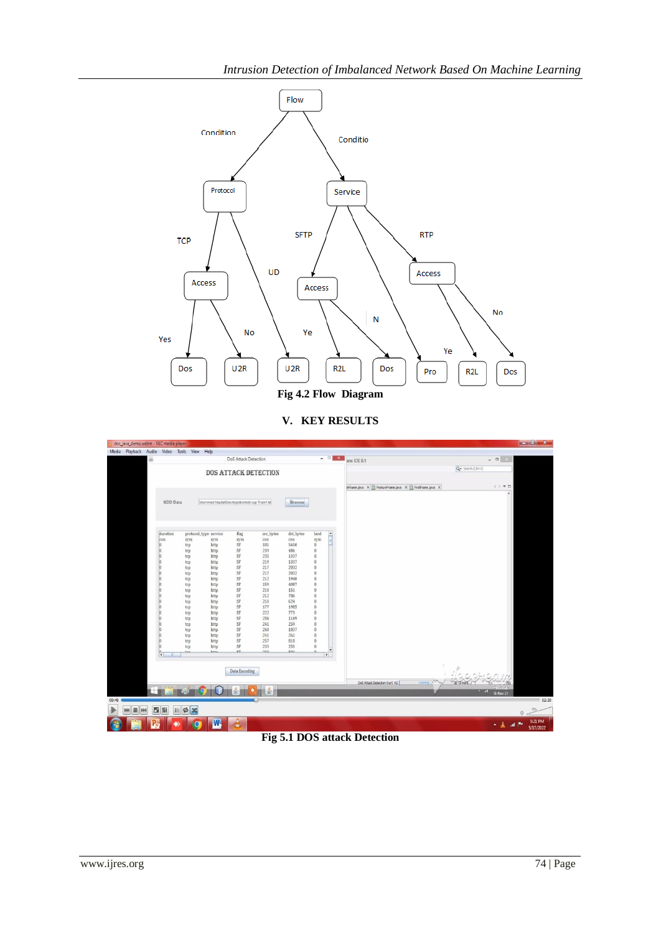

**V. KEY RESULTS**



## **Fig 5.1 DOS attack Detection**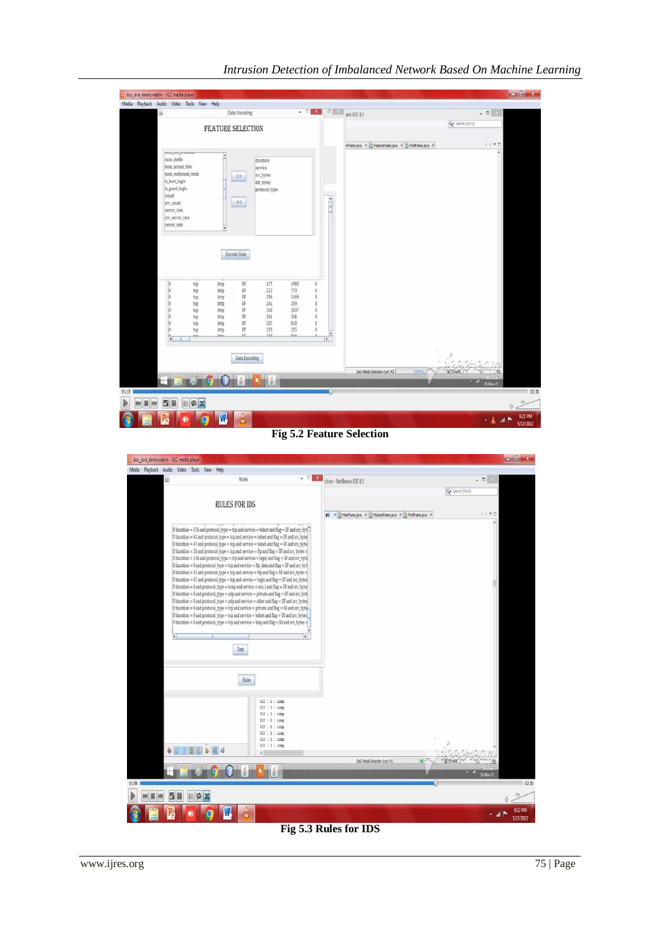| dos_java_demo.webm - VLC media player<br>Media Playback Audio Video Tools View Help |                                                                                                                                                                                |                                                      |                                                                             |                                                                                                            |                                                         |                                                                                                          |                                         |                                                         |                                             | $-6x$                |
|-------------------------------------------------------------------------------------|--------------------------------------------------------------------------------------------------------------------------------------------------------------------------------|------------------------------------------------------|-----------------------------------------------------------------------------|------------------------------------------------------------------------------------------------------------|---------------------------------------------------------|----------------------------------------------------------------------------------------------------------|-----------------------------------------|---------------------------------------------------------|---------------------------------------------|----------------------|
|                                                                                     | $\frac{d}{d\theta}$                                                                                                                                                            |                                                      |                                                                             | Data Encoding                                                                                              |                                                         | $    -$                                                                                                  |                                         | ans IDE 8.1                                             | $-0 x$                                      |                      |
|                                                                                     |                                                                                                                                                                                |                                                      | <b>FEATURE SELECTION</b>                                                    |                                                                                                            |                                                         |                                                                                                          |                                         |                                                         | Q- Search (Ctrl+I)                          |                      |
|                                                                                     |                                                                                                                                                                                |                                                      |                                                                             |                                                                                                            |                                                         |                                                                                                          |                                         | inFrame.java X 3 FeatureFrame.java X 3 FrstFrame.java X | $( )$ $V1$                                  |                      |
|                                                                                     | mun nu vromom<br>num_shells<br>num_access_files<br>num_outbound_cmds<br>is host login<br>is_guest_login<br>count<br>srv_count<br>serror rate<br>srv_serror_rate<br>rerror rate |                                                      | $\bullet$<br>$>>$                                                           | duration<br>service<br>src_bytes<br>dst_bytes<br>protocol_type<br>$\,<$                                    |                                                         |                                                                                                          | $\frac{1}{\sqrt{2}}$                    |                                                         |                                             |                      |
|                                                                                     | 000000<br>$ 0\rangle$                                                                                                                                                          | tcp<br>tcp<br>tcp<br>tcp<br>tcp<br>tcp<br>tcp<br>tcp | Encode Data<br>http<br>http<br>http<br>http<br>http<br>http<br>http<br>http | SF<br>177<br>$\rm SF$<br>222<br>SF<br>256<br>SF<br>241<br>SF<br>260<br>SF<br>241<br>SF<br>257<br>SF<br>233 | 1985<br>773<br>1169<br>259<br>1837<br>261<br>818<br>255 | $\theta$<br>$\overline{0}$<br>$\theta$<br>$\theta$<br>$\theta$<br>$\theta$<br>$\overline{0}$<br>$\Omega$ |                                         |                                                         |                                             |                      |
| 01:15                                                                               | $_{\rm cr}$<br>722<br>$\mathbf{F}$ 0.4<br><b>Jutter</b><br>١n<br>Aug<br>$\overline{\bullet}$<br>Data Encoding<br>島<br>画<br>787<br>п<br>młOm<br>ЮI<br>₩                         |                                                      |                                                                             |                                                                                                            |                                                         |                                                                                                          | $\bullet$<br>$\blacktriangleright$<br>o | runna v<br>DoS Attack Detection (run) #2                | Topor<br>IN T3 more<br>$-$ all<br>18-Nov-21 |                      |
| Þ<br>B<br>M<br>M                                                                    | W<br>B)                                                                                                                                                                        | $\mathbb{E}[\Phi]$ x                                 |                                                                             |                                                                                                            |                                                         |                                                                                                          |                                         |                                                         |                                             | Ö.                   |
|                                                                                     |                                                                                                                                                                                | O                                                    | $\overline{\mathbb{W}}$                                                     | à                                                                                                          |                                                         |                                                                                                          |                                         |                                                         | 人名 湖野                                       | 9:21 PM<br>5/17/2022 |

# *Intrusion Detection of Imbalanced Network Based On Machine Learning*

**Fig 5.2 Feature Selection**



**Fig 5.3 Rules for IDS**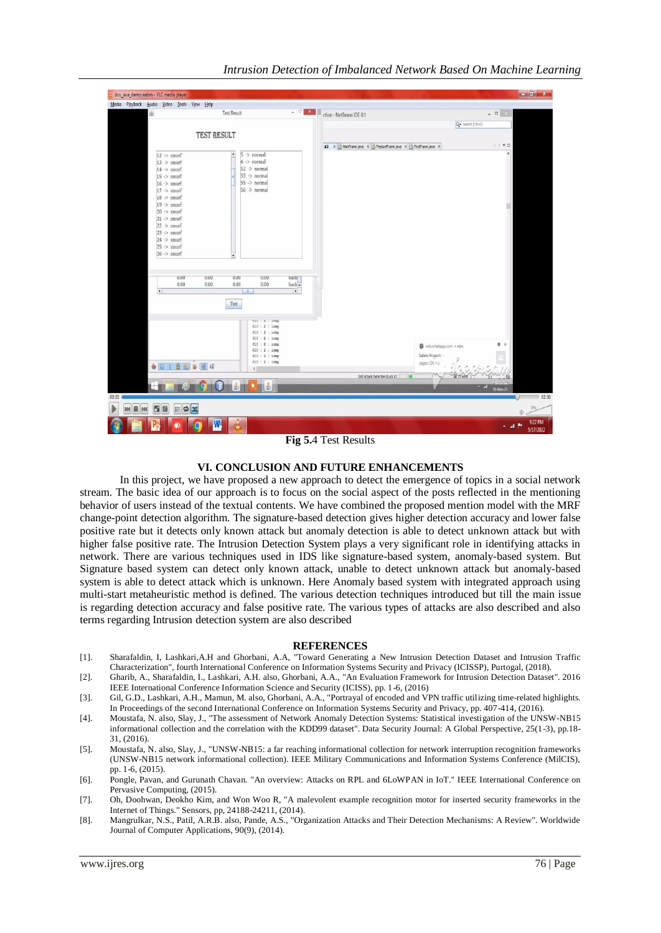| dos_java_demo.webm - VLC media player                                                                                                                                                                                                                                                                                                                                                                                                                                                                                                                                                                                                                          |                                                                                                                                                                                                                                                                                                                                                                                                     | $-6-x$               |
|----------------------------------------------------------------------------------------------------------------------------------------------------------------------------------------------------------------------------------------------------------------------------------------------------------------------------------------------------------------------------------------------------------------------------------------------------------------------------------------------------------------------------------------------------------------------------------------------------------------------------------------------------------------|-----------------------------------------------------------------------------------------------------------------------------------------------------------------------------------------------------------------------------------------------------------------------------------------------------------------------------------------------------------------------------------------------------|----------------------|
| Media Playback Audio Video Tools View Help                                                                                                                                                                                                                                                                                                                                                                                                                                                                                                                                                                                                                     |                                                                                                                                                                                                                                                                                                                                                                                                     |                      |
| <b>Test Result</b><br>画                                                                                                                                                                                                                                                                                                                                                                                                                                                                                                                                                                                                                                        | $\overline{a}$ $\overline{b}$ $\overline{a}$ $\overline{b}$ $\overline{c}$ $\overline{c}$ $\overline{d}$ $\overline{c}$ $\overline{d}$ $\overline{d}$ $\overline{d}$ $\overline{d}$ $\overline{d}$ $\overline{d}$ $\overline{d}$ $\overline{d}$ $\overline{d}$ $\overline{d}$ $\overline{d}$ $\overline{d}$ $\overline{d}$ $\overline{d}$ $\overline{d}$ $\overline{d}$ $\overline{$<br>$ \Box$ $x$ |                      |
|                                                                                                                                                                                                                                                                                                                                                                                                                                                                                                                                                                                                                                                                | Q- Search (Ctrl+I)                                                                                                                                                                                                                                                                                                                                                                                  |                      |
| <b>TEST RESULT</b>                                                                                                                                                                                                                                                                                                                                                                                                                                                                                                                                                                                                                                             |                                                                                                                                                                                                                                                                                                                                                                                                     |                      |
|                                                                                                                                                                                                                                                                                                                                                                                                                                                                                                                                                                                                                                                                | $\langle \cdot \rangle \ \Psi \ \Box$<br>#2 X MainFrame.java X B FeatureFrame.java X B FrstFrame.java X                                                                                                                                                                                                                                                                                             |                      |
| $5$ $\rightarrow$ normal<br>$12$ $\rightarrow$ smurf<br>$\blacksquare$<br>$6$ -> normal<br>$13$ > smurf<br>$14$ $\rightarrow$ smurf<br>$52$ $\rightarrow$ normal<br>$53$ $\rightarrow$ normal<br>$15$ $\rightarrow$ smurf<br>$55$ -> normal<br>$16$ ·> smurf<br>$56$ $\rightarrow$ normal<br>$17$ $\rightarrow$ smurf<br>$18$ > smurf<br>$19$ $\rightarrow$ smurf<br>$20$ -> smurf<br>$21 \rightarrow$ smurf<br>$22$ $\Rightarrow$ smurf<br>$23$ $\rightarrow$ smurf<br>$24$ $\rightarrow$ smurf<br>$25 \rightarrow$ smurf<br>$26$ > smurf<br>$\blacksquare$<br>U.UU<br>U.UU<br>0.00<br>U.UU<br>$\begin{array}{ll} \texttt{back} \\ \texttt{back} \end{array}$ |                                                                                                                                                                                                                                                                                                                                                                                                     |                      |
| 0.00<br>0.00<br>0.00<br>0.00<br>$\vert \cdot \vert$<br>$\overline{\mathcal{A}}$<br>Test<br>UEU 1000<br>010 : 2 : icmp<br>$010 : 2 : i$ cmp<br>010 : 2 : 1cmp<br>010 : 2 : icmp<br>$010:2:1$ cmp<br>$010:2:1$ cmp<br>010 : 2 : icmp<br>各日1面金面暗结<br>$\left\langle \cdot \right\rangle$<br>÷<br>ш<br>02:22<br>Þ<br>Б<br>餅<br>$\frac{1}{2}$<br>圖<br>目<br><b>M</b><br>844                                                                                                                                                                                                                                                                                           | ₿ X<br>web.whatsapp.com . now<br>Salem Projects<br>Jagan: OK ma<br>$\sqrt{2}$<br>Ill to note<br>DoS Attack Detection (run) #2<br>$-51$<br>18-Nov-21<br>$\left( -\right)$<br>O.                                                                                                                                                                                                                      | 02:30<br>0%          |
| â<br>W                                                                                                                                                                                                                                                                                                                                                                                                                                                                                                                                                                                                                                                         | <b>All British</b>                                                                                                                                                                                                                                                                                                                                                                                  | 9:22 PM<br>5/17/2022 |

**Fig 5.**4 Test Results

#### **VI. CONCLUSION AND FUTURE ENHANCEMENTS**

In this project, we have proposed a new approach to detect the emergence of topics in a social network stream. The basic idea of our approach is to focus on the social aspect of the posts reflected in the mentioning behavior of users instead of the textual contents. We have combined the proposed mention model with the MRF change-point detection algorithm. The signature-based detection gives higher detection accuracy and lower false positive rate but it detects only known attack but anomaly detection is able to detect unknown attack but with higher false positive rate. The Intrusion Detection System plays a very significant role in identifying attacks in network. There are various techniques used in IDS like signature-based system, anomaly-based system. But Signature based system can detect only known attack, unable to detect unknown attack but anomaly-based system is able to detect attack which is unknown. Here Anomaly based system with integrated approach using multi-start metaheuristic method is defined. The various detection techniques introduced but till the main issue is regarding detection accuracy and false positive rate. The various types of attacks are also described and also terms regarding Intrusion detection system are also described

#### **REFERENCES**

- [1]. Sharafaldin, I, Lashkari,A.H and Ghorbani, A.A, "Toward Generating a New Intrusion Detection Dataset and Intrusion Traffic Characterization", fourth International Conference on Information Systems Security and Privacy (ICISSP), Purtogal, (2018).
- [2]. Gharib, A., Sharafaldin, I., Lashkari, A.H. also, Ghorbani, A.A., "An Evaluation Framework for Intrusion Detection Dataset". 2016 IEEE International Conference Information Science and Security (ICISS), pp. 1-6, (2016)
- [3]. Gil, G.D., Lashkari, A.H., Mamun, M. also, Ghorbani, A.A., "Portrayal of encoded and VPN traffic utilizing time-related highlights. In Proceedings of the second International Conference on Information Systems Security and Privacy, pp. 407-414, (2016).
- [4]. Moustafa, N. also, Slay, J., "The assessment of Network Anomaly Detection Systems: Statistical investigation of the UNSW-NB15 informational collection and the correlation with the KDD99 dataset". Data Security Journal: A Global Perspective, 25(1-3), pp.18- 31, (2016).
- [5]. Moustafa, N. also, Slay, J., "UNSW-NB15: a far reaching informational collection for network interruption recognition frameworks (UNSW-NB15 network informational collection). IEEE Military Communications and Information Systems Conference (MilCIS), pp. 1-6, (2015).
- [6]. Pongle, Pavan, and Gurunath Chavan. "An overview: Attacks on RPL and 6LoWPAN in IoT." IEEE International Conference on Pervasive Computing, (2015).
- [7]. Oh, Doohwan, Deokho Kim, and Won Woo R, "A malevolent example recognition motor for inserted security frameworks in the Internet of Things." Sensors, pp, 24188-24211, (2014).
- [8]. Mangrulkar, N.S., Patil, A.R.B. also, Pande, A.S., "Organization Attacks and Their Detection Mechanisms: A Review". Worldwide Journal of Computer Applications, 90(9), (2014).